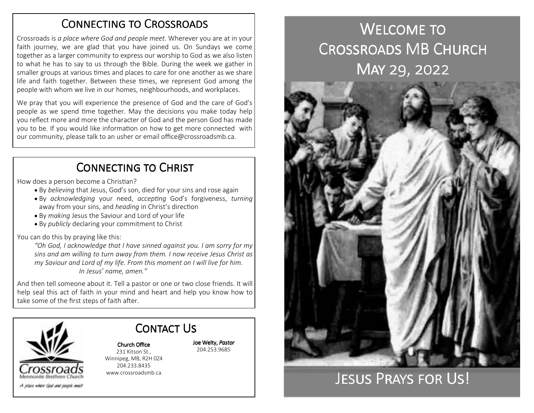### CONNECTING TO CROSSROADS

Crossroads is *a place where God and people meet*. Wherever you are at in your faith journey, we are glad that you have joined us. On Sundays we come together as a larger community to express our worship to God as we also listen to what he has to say to us through the Bible. During the week we gather in smaller groups at various times and places to care for one another as we share life and faith together. Between these times, we represent God among the people with whom we live in our homes, neighbourhoods, and workplaces.

We pray that you will experience the presence of God and the care of God's people as we spend time together. May the decisions you make today help you reflect more and more the character of God and the person God has made you to be. If you would like information on how to get more connected with our community, please talk to an usher or email office@crossroadsmb.ca.

## CONNECTING TO CHRIST

How does a person become a Christian?

- By *believing* that Jesus, God's son, died for your sins and rose again
- By *acknowledging* your need, *accepting* God's forgiveness, *turning* away from your sins, and *heading* in Christ's direction
- By *making* Jesus the Saviour and Lord of your life
- By *publicly* declaring your commitment to Christ

You can do this by praying like this:

*"Oh God, I acknowledge that I have sinned against you. I am sorry for my sins and am willing to turn away from them. I now receive Jesus Christ as my Saviour and Lord of my life. From this moment on I will live for him. In Jesus' name, amen."* 

And then tell someone about it. Tell a pastor or one or two close friends. It will help seal this act of faith in your mind and heart and help you know how to take some of the first steps of faith after.

> 204.233.8435 www.crossroadsmb.ca



Church Office 231 Kitson St., Winnipeg, MB, R2H 0Z4

Contact Us

Joe Welty, *Pastor*204.253.9685

# WELCOME TO CROSSROADS MB CHURCH MAY 29, 2022



## JESUS PRAYS FOR US!

A play where God and people meet